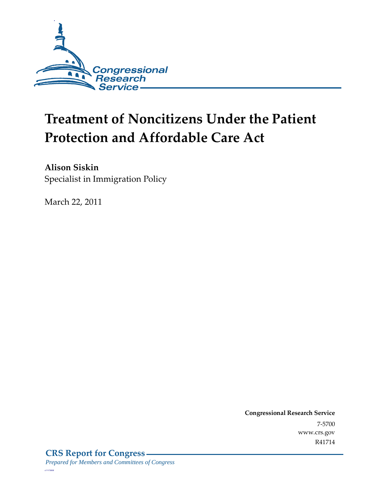

# **Treatment of Noncitizens Under the Patient Protection and Affordable Care Act**

**Alison Siskin**  Specialist in Immigration Policy

March 22, 2011

**Congressional Research Service** 7-5700 www.crs.gov R41714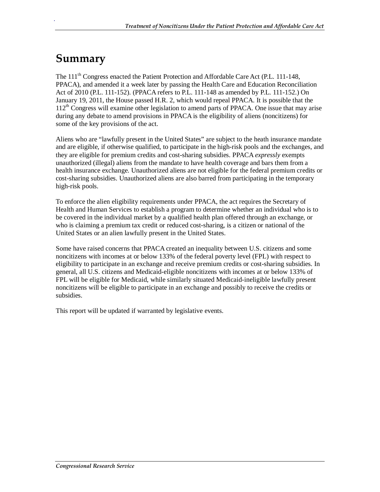## **Summary**

.

The  $111<sup>th</sup>$  Congress enacted the Patient Protection and Affordable Care Act (P.L. 111-148, PPACA), and amended it a week later by passing the Health Care and Education Reconciliation Act of 2010 (P.L. 111-152). (PPACA refers to P.L. 111-148 as amended by P.L. 111-152.) On January 19, 2011, the House passed H.R. 2, which would repeal PPACA. It is possible that the  $112<sup>th</sup>$  Congress will examine other legislation to amend parts of PPACA. One issue that may arise during any debate to amend provisions in PPACA is the eligibility of aliens (noncitizens) for some of the key provisions of the act.

Aliens who are "lawfully present in the United States" are subject to the heath insurance mandate and are eligible, if otherwise qualified, to participate in the high-risk pools and the exchanges, and they are eligible for premium credits and cost-sharing subsidies. PPACA *expressly* exempts unauthorized (illegal) aliens from the mandate to have health coverage and bars them from a health insurance exchange. Unauthorized aliens are not eligible for the federal premium credits or cost-sharing subsidies. Unauthorized aliens are also barred from participating in the temporary high-risk pools.

To enforce the alien eligibility requirements under PPACA, the act requires the Secretary of Health and Human Services to establish a program to determine whether an individual who is to be covered in the individual market by a qualified health plan offered through an exchange, or who is claiming a premium tax credit or reduced cost-sharing, is a citizen or national of the United States or an alien lawfully present in the United States.

Some have raised concerns that PPACA created an inequality between U.S. citizens and some noncitizens with incomes at or below 133% of the federal poverty level (FPL) with respect to eligibility to participate in an exchange and receive premium credits or cost-sharing subsidies. In general, all U.S. citizens and Medicaid-eligible noncitizens with incomes at or below 133% of FPL will be eligible for Medicaid, while similarly situated Medicaid-ineligible lawfully present noncitizens will be eligible to participate in an exchange and possibly to receive the credits or subsidies.

This report will be updated if warranted by legislative events.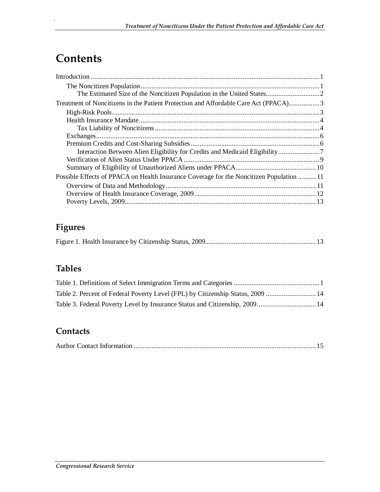## **Contents**

.

| Treatment of Noncitizens in the Patient Protection and Affordable Care Act (PPACA)3      |  |
|------------------------------------------------------------------------------------------|--|
|                                                                                          |  |
|                                                                                          |  |
|                                                                                          |  |
|                                                                                          |  |
|                                                                                          |  |
|                                                                                          |  |
|                                                                                          |  |
|                                                                                          |  |
| Possible Effects of PPACA on Health Insurance Coverage for the Noncitizen Population  11 |  |
|                                                                                          |  |
|                                                                                          |  |
|                                                                                          |  |

## **Figures**

|--|--|

## **Tables**

| Table 2. Percent of Federal Poverty Level (FPL) by Citizenship Status, 2009  14 |  |
|---------------------------------------------------------------------------------|--|
|                                                                                 |  |

#### **Contacts**

|--|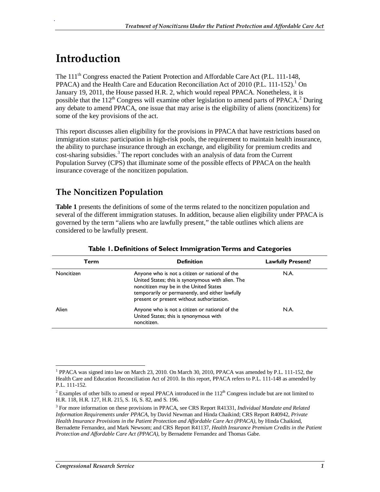## **Introduction**

.

The 111<sup>th</sup> Congress enacted the Patient Protection and Affordable Care Act (P.L. 111-148, PPACA) and the Health Care and Education Reconciliation Act of 2010 (P.L. 111-152).<sup>1</sup> On January 19, 2011, the House passed H.R. 2, which would repeal PPACA. Nonetheless, it is possible that the  $112^{th}$  Congress will examine other legislation to amend parts of PPACA.<sup>2</sup> During any debate to amend PPACA, one issue that may arise is the eligibility of aliens (noncitizens) for some of the key provisions of the act.

This report discusses alien eligibility for the provisions in PPACA that have restrictions based on immigration status: participation in high-risk pools, the requirement to maintain health insurance, the ability to purchase insurance through an exchange, and eligibility for premium credits and cost-sharing subsidies.<sup>3</sup> The report concludes with an analysis of data from the Current Population Survey (CPS) that illuminate some of the possible effects of PPACA on the health insurance coverage of the noncitizen population.

### **The Noncitizen Population**

**Table 1** presents the definitions of some of the terms related to the noncitizen population and several of the different immigration statuses. In addition, because alien eligibility under PPACA is governed by the term "aliens who are lawfully present," the table outlines which aliens are considered to be lawfully present.

| Term       | <b>Definition</b>                                                                                                                                                                                                                             | <b>Lawfully Present?</b> |
|------------|-----------------------------------------------------------------------------------------------------------------------------------------------------------------------------------------------------------------------------------------------|--------------------------|
| Noncitizen | Anyone who is not a citizen or national of the<br>United States; this is synonymous with alien. The<br>noncitizen may be in the United States<br>temporarily or permanently, and either lawfully<br>present or present without authorization. | N.A.                     |
| Alien      | Anyone who is not a citizen or national of the<br>United States; this is synonymous with<br>noncitizen.                                                                                                                                       | N.A.                     |

#### **Table 1. Definitions of Select Immigration Terms and Categories**

 1 PPACA was signed into law on March 23, 2010. On March 30, 2010, PPACA was amended by P.L. 111-152, the Health Care and Education Reconciliation Act of 2010. In this report, PPACA refers to P.L. 111-148 as amended by P.L. 111-152.

<sup>&</sup>lt;sup>2</sup> Examples of other bills to amend or repeal PPACA introduced in the  $112<sup>th</sup>$  Congress include but are not limited to H.R. 118, H.R. 127, H.R. 215, S. 16, S. 82, and S. 196.

<sup>3</sup> For more information on these provisions in PPACA, see CRS Report R41331, *Individual Mandate and Related Information Requirements under PPACA*, by David Newman and Hinda Chaikind; CRS Report R40942, *Private Health Insurance Provisions in the Patient Protection and Affordable Care Act (PPACA)*, by Hinda Chaikind, Bernadette Fernandez, and Mark Newsom; and CRS Report R41137, *Health Insurance Premium Credits in the Patient Protection and Affordable Care Act (PPACA)*, by Bernadette Fernandez and Thomas Gabe.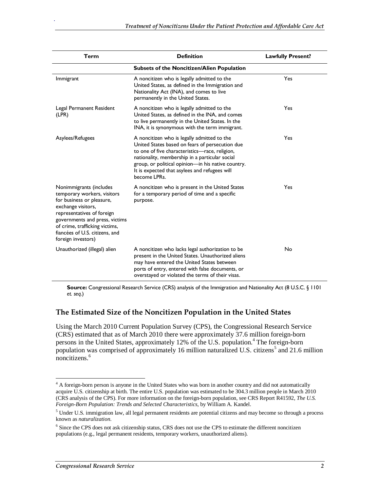| <b>Term</b>                                                                                                                                                                                                                                                         | <b>Definition</b>                                                                                                                                                                                                                                                                                                         | <b>Lawfully Present?</b> |  |
|---------------------------------------------------------------------------------------------------------------------------------------------------------------------------------------------------------------------------------------------------------------------|---------------------------------------------------------------------------------------------------------------------------------------------------------------------------------------------------------------------------------------------------------------------------------------------------------------------------|--------------------------|--|
|                                                                                                                                                                                                                                                                     | <b>Subsets of the Noncitizen/Alien Population</b>                                                                                                                                                                                                                                                                         |                          |  |
| Immigrant                                                                                                                                                                                                                                                           | A noncitizen who is legally admitted to the<br>United States, as defined in the Immigration and<br>Nationality Act (INA), and comes to live<br>permanently in the United States.                                                                                                                                          | Yes                      |  |
| Legal Permanent Resident<br>(LPR)                                                                                                                                                                                                                                   | A noncitizen who is legally admitted to the<br>United States, as defined in the INA, and comes<br>to live permanently in the United States. In the<br>INA, it is synonymous with the term immigrant.                                                                                                                      | Yes                      |  |
| Asylees/Refugees                                                                                                                                                                                                                                                    | A noncitizen who is legally admitted to the<br>United States based on fears of persecution due<br>to one of five characteristics-race, religion,<br>nationality, membership in a particular social<br>group, or political opinion-in his native country.<br>It is expected that asylees and refugees will<br>become LPRs. | Yes                      |  |
| Nonimmigrants (includes<br>temporary workers, visitors<br>for business or pleasure,<br>exchange visitors,<br>representatives of foreign<br>governments and press, victims<br>of crime, trafficking victims,<br>fiancées of U.S. citizens, and<br>foreign investors) | A noncitizen who is present in the United States<br>for a temporary period of time and a specific<br>purpose.                                                                                                                                                                                                             | Yes                      |  |
| Unauthorized (illegal) alien                                                                                                                                                                                                                                        | A noncitizen who lacks legal authorization to be<br>present in the United States. Unauthorized aliens<br>may have entered the United States between<br>ports of entry, entered with false documents, or<br>overstayed or violated the terms of their visas.                                                               | No                       |  |

**Source:** Congressional Research Service (CRS) analysis of the Immigration and Nationality Act (8 U.S.C. § 1101 *et. seq*.)

#### **The Estimated Size of the Noncitizen Population in the United States**

Using the March 2010 Current Population Survey (CPS), the Congressional Research Service (CRS) estimated that as of March 2010 there were approximately 37.6 million foreign-born persons in the United States, approximately 12% of the U.S. population.<sup>4</sup> The foreign-born population was comprised of approximately 16 million naturalized U.S. citizens<sup>5</sup> and 21.6 million noncitizens.<sup>6</sup>

<u>.</u>

<sup>&</sup>lt;sup>4</sup> A foreign-born person is anyone in the United States who was born in another country and did not automatically acquire U.S. citizenship at birth. The entire U.S. population was estimated to be 304.3 million people in March 2010 (CRS analysis of the CPS). For more information on the foreign-born population, see CRS Report R41592, *The U.S. Foreign-Born Population: Trends and Selected Characteristics*, by William A. Kandel.

<sup>&</sup>lt;sup>5</sup> Under U.S. immigration law, all legal permanent residents are potential citizens and may become so through a process known as *naturalization*.

<sup>&</sup>lt;sup>6</sup> Since the CPS does not ask citizenship status, CRS does not use the CPS to estimate the different noncitizen populations (e.g., legal permanent residents, temporary workers, unauthorized aliens).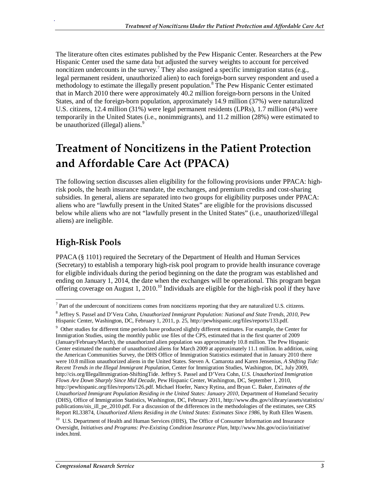The literature often cites estimates published by the Pew Hispanic Center. Researchers at the Pew Hispanic Center used the same data but adjusted the survey weights to account for perceived noncitizen undercounts in the survey.<sup>7</sup> They also assigned a specific immigration status (e.g., legal permanent resident, unauthorized alien) to each foreign-born survey respondent and used a methodology to estimate the illegally present population.<sup>8</sup> The Pew Hispanic Center estimated that in March 2010 there were approximately 40.2 million foreign-born persons in the United States, and of the foreign-born population, approximately 14.9 million (37%) were naturalized U.S. citizens, 12.4 million (31%) were legal permanent residents (LPRs), 1.7 million (4%) were temporarily in the United States (i.e., nonimmigrants), and 11.2 million (28%) were estimated to be unauthorized (illegal) aliens.<sup>9</sup>

## **Treatment of Noncitizens in the Patient Protection and Affordable Care Act (PPACA)**

The following section discusses alien eligibility for the following provisions under PPACA: highrisk pools, the heath insurance mandate, the exchanges, and premium credits and cost-sharing subsidies. In general, aliens are separated into two groups for eligibility purposes under PPACA: aliens who are "lawfully present in the United States" are eligible for the provisions discussed below while aliens who are not "lawfully present in the United States" (i.e., unauthorized/illegal aliens) are ineligible.

### **High-Risk Pools**

.

PPACA (§ 1101) required the Secretary of the Department of Health and Human Services (Secretary) to establish a temporary high-risk pool program to provide health insurance coverage for eligible individuals during the period beginning on the date the program was established and ending on January 1, 2014, the date when the exchanges will be operational. This program began offering coverage on August 1, 2010.<sup>10</sup> Individuals are eligible for the high-risk pool if they have

The 1 act of the undercount of noncitizens comes from noncitizens reporting that they are naturalized U.S. citizens.

<sup>8</sup> Jeffrey S. Passel and D'Vera Cohn, *Unauthorized Immigrant Population: National and State Trends, 2010*, Pew Hispanic Center, Washington, DC, February 1, 2011, p. 25, http://pewhispanic.org/files/reports/133.pdf.

<sup>&</sup>lt;sup>9</sup> Other studies for different time periods have produced slightly different estimates. For example, the Center for Immigration Studies, using the monthly public use files of the CPS, estimated that in the first quarter of 2009 (January/February/March), the unauthorized alien population was approximately 10.8 million. The Pew Hispanic Center estimated the number of unauthorized aliens for March 2009 at approximately 11.1 million. In addition, using the American Communities Survey, the DHS Office of Immigration Statistics estimated that in January 2010 there were 10.8 million unauthorized aliens in the United States. Steven A. Camarota and Karen Jensenius, *A Shifting Tide: Recent Trends in the Illegal Immigrant Population*, Center for Immigration Studies, Washington, DC, July 2009, http://cis.org/IllegalImmigration-ShiftingTide. Jeffrey S. Passel and D'Vera Cohn, *U.S. Unauthorized Immigration Flows Are Down Sharply Since Mid Decade*, Pew Hispanic Center, Washington, DC, September 1, 2010, http://pewhispanic.org/files/reports/126.pdf. Michael Hoefer, Nancy Rytina, and Bryan C. Baker, *Estimates of the Unauthorized Immigrant Population Residing in the United States: January 2010*, Department of Homeland Security (DHS), Office of Immigration Statistics, Washington, DC, February 2011, http://www.dhs.gov/xlibrary/assets/statistics/ publications/ois\_ill\_pe\_2010.pdf. For a discussion of the differences in the methodologies of the estimates, see CRS Report RL33874, *Unauthorized Aliens Residing in the United States: Estimates Since 1986*, by Ruth Ellen Wasem.

<sup>&</sup>lt;sup>10</sup> U.S. Department of Health and Human Services (HHS), The Office of Consumer Information and Insurance Oversight, *Initiatives and Programs: Pre-Existing Condition Insurance Plan*, http://www.hhs.gov/ociio/initiative/ index.html.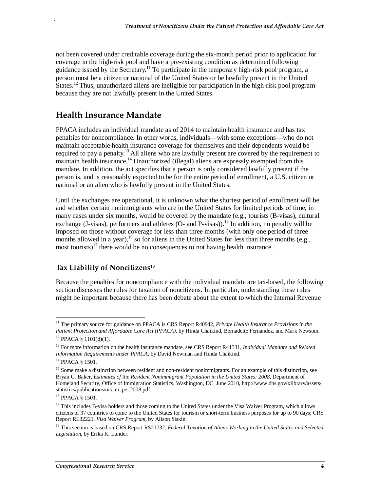not been covered under creditable coverage during the six-month period prior to application for coverage in the high-risk pool and have a pre-existing condition as determined following guidance issued by the Secretary.<sup>11</sup> To participate in the temporary high-risk pool program, a person must be a citizen or national of the United States or be lawfully present in the United States.<sup>12</sup> Thus, unauthorized aliens are ineligible for participation in the high-risk pool program because they are not lawfully present in the United States.

#### **Health Insurance Mandate**

.

PPACA includes an individual mandate as of 2014 to maintain health insurance and has tax penalties for noncompliance. In other words, individuals—with some exceptions—who do not maintain acceptable health insurance coverage for themselves and their dependents would be required to pay a penalty.<sup>13</sup> All aliens who are lawfully present are covered by the requirement to maintain health insurance.<sup>14</sup> Unauthorized (illegal) aliens are expressly exempted from this mandate. In addition, the act specifies that a person is only considered lawfully present if the person is, and is reasonably expected to be for the entire period of enrollment, a U.S. citizen or national or an alien who is lawfully present in the United States.

Until the exchanges are operational, it is unknown what the shortest period of enrollment will be and whether certain nonimmigrants who are in the United States for limited periods of time, in many cases under six months, would be covered by the mandate (e.g., tourists (B-visas), cultural exchange (J-visas), performers and athletes (O- and P-visas)).<sup>15</sup> In addition, no penalty will be imposed on those without coverage for less than three months (with only one period of three months allowed in a year),<sup>16</sup> so for aliens in the United States for less than three months (e.g., most tourists)<sup>17</sup> there would be no consequences to not having health insurance.

#### **Tax Liability of Noncitizens18**

Because the penalties for noncompliance with the individual mandate are tax-based, the following section discusses the rules for taxation of noncitizens. In particular, understanding these rules might be important because there has been debate about the extent to which the Internal Revenue

<sup>-</sup>11 The primary source for guidance on PPACA is CRS Report R40942, *Private Health Insurance Provisions in the Patient Protection and Affordable Care Act (PPACA)*, by Hinda Chaikind, Bernadette Fernandez, and Mark Newsom.<br><sup>12</sup> PPACA § 1101(d)(1).

<sup>13</sup> For more information on the health insurance mandate, see CRS Report R41331, *Individual Mandate and Related Information Requirements under PPACA*, by David Newman and Hinda Chaikind.

<sup>&</sup>lt;sup>14</sup> PPACA § 1501.

<sup>&</sup>lt;sup>15</sup> Some make a distinction between resident and non-resident nonimmigrants. For an example of this distinction, see Bryan C. Baker, *Estimates of the Resident Nonimmigrant Population in the United States: 2008*, Department of Homeland Security, Office of Immigration Statistics, Washington, DC, June 2010, http://www.dhs.gov/xlibrary/assets/ statistics/publications/ois\_ni\_pe\_2008.pdf.

<sup>16</sup> PPACA § 1501.

<sup>&</sup>lt;sup>17</sup> This includes B-visa holders and those coming to the United States under the Visa Waiver Program, which allows citizens of 37 countries to come to the United States for tourism or short-term business purposes for up to 90 days; CRS Report RL32221, *Visa Waiver Program*, by Alison Siskin.

<sup>18</sup> This section is based on CRS Report RS21732, *Federal Taxation of Aliens Working in the United States and Selected Legislation*, by Erika K. Lunder.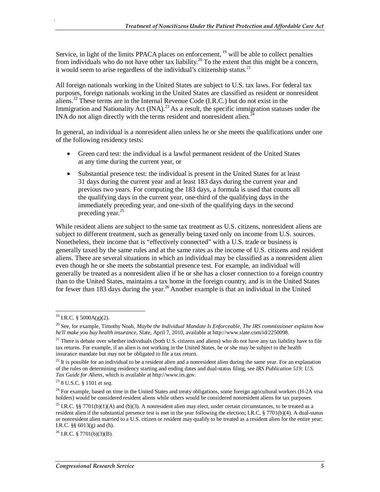Service, in light of the limits PPACA places on enforcement, <sup>19</sup> will be able to collect penalties from individuals who do not have other tax liability.<sup>20</sup> To the extent that this might be a concern, it would seem to arise regardless of the individual's citizenship status.<sup>21</sup>

All foreign nationals working in the United States are subject to U.S. tax laws. For federal tax purposes, foreign nationals working in the United States are classified as resident or nonresident aliens.<sup>22</sup> These terms are in the Internal Revenue Code (I.R.C.) but do not exist in the Immigration and Nationality Act (INA).<sup>23</sup> As a result, the specific immigration statuses under the INA do not align directly with the terms resident and nonresident alien.<sup> $24$ </sup>

In general, an individual is a nonresident alien unless he or she meets the qualifications under one of the following residency tests:

- Green card test: the individual is a lawful permanent resident of the United States at any time during the current year, or
- Substantial presence test: the individual is present in the United States for at least 31 days during the current year and at least 183 days during the current year and previous two years. For computing the 183 days, a formula is used that counts all the qualifying days in the current year, one-third of the qualifying days in the immediately preceding year, and one-sixth of the qualifying days in the second preceding year.<sup>25</sup>

While resident aliens are subject to the same tax treatment as U.S. citizens, nonresident aliens are subject to different treatment, such as generally being taxed only on income from U.S. sources. Nonetheless, their income that is "effectively connected" with a U.S. trade or business is generally taxed by the same rules and at the same rates as the income of U.S. citizens and resident aliens. There are several situations in which an individual may be classified as a nonresident alien even though he or she meets the substantial presence test. For example, an individual will generally be treated as a nonresident alien if he or she has a closer connection to a foreign country than to the United States, maintains a tax home in the foreign country, and is in the United States for fewer than 183 days during the year.<sup>26</sup> Another example is that an individual in the United

<sup>&</sup>lt;u>.</u> <sup>19</sup> I.R.C. § 5000A(g)(2).

<sup>20</sup> See, for example, Timothy Noah, *Maybe the Individual Mandate Is Enforceable, The IRS commissioner explains how he'll make you buy health insurance*, Slate, April 7, 2010, available at http://www.slate.com/id/2250098.

 $21$  There is debate over whether individuals (both U.S. citizens and aliens) who do not have any tax liability have to file tax returns. For example, if an alien is not working in the United States, he or she may be subject to the health insurance mandate but may not be obligated to file a tax return.

 $22$  It is possible for an individual to be a resident alien and a nonresident alien during the same year. For an explanation of the rules on determining residency starting and ending dates and dual-status filing, see *IRS Publication 519: U.S. Tax Guide for Aliens*, which is available at http://www.irs.gov. 23 8 U.S.C. § 1101 *et seq*.

 $24$  For example, based on time in the United States and treaty obligations, some foreign agricultural workers (H-2A visa holders) would be considered resident aliens while others would be considered nonresident aliens for tax purposes.

<sup>&</sup>lt;sup>25</sup> I.R.C. §§ 7701(b)(1)(A) and (b)(3). A nonresident alien may elect, under certain circumstances, to be treated as a resident alien if the substantial presence test is met in the year following the election; I.R.C. § 7701(b)(4). A dual-status or nonresident alien married to a U.S. citizen or resident may qualify to be treated as a resident alien for the entire year; I.R.C. §§ 6013(g) and (h).

 $^{26}$  I.R.C. § 7701(b)(3)(B).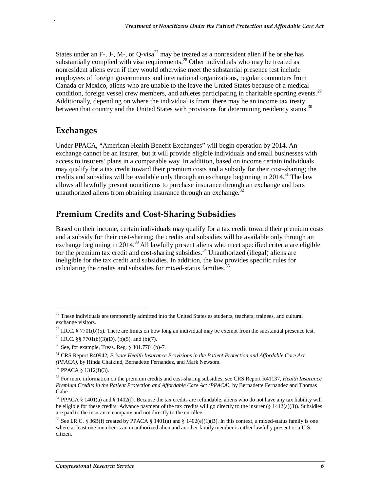States under an F-, J-, M-, or Q-visa<sup>27</sup> may be treated as a nonresident alien if he or she has substantially complied with visa requirements. $^{28}$  Other individuals who may be treated as nonresident aliens even if they would otherwise meet the substantial presence test include employees of foreign governments and international organizations, regular commuters from Canada or Mexico, aliens who are unable to the leave the United States because of a medical condition, foreign vessel crew members, and athletes participating in charitable sporting events.<sup>29</sup> Additionally, depending on where the individual is from, there may be an income tax treaty between that country and the United States with provisions for determining residency status.<sup>30</sup>

#### **Exchanges**

.

Under PPACA, "American Health Benefit Exchanges" will begin operation by 2014. An exchange cannot be an insurer, but it will provide eligible individuals and small businesses with access to insurers' plans in a comparable way. In addition, based on income certain individuals may qualify for a tax credit toward their premium costs and a subsidy for their cost-sharing; the credits and subsidies will be available only through an exchange beginning in  $2014$ <sup>31</sup>. The law allows all lawfully present noncitizens to purchase insurance through an exchange and bars unauthorized aliens from obtaining insurance through an exchange.<sup>3</sup>

## **Premium Credits and Cost-Sharing Subsidies**

Based on their income, certain individuals may qualify for a tax credit toward their premium costs and a subsidy for their cost-sharing; the credits and subsidies will be available only through an exchange beginning in 2014.<sup>33</sup> All lawfully present aliens who meet specified criteria are eligible for the premium tax credit and cost-sharing subsidies.<sup>34</sup> Unauthorized (illegal) aliens are ineligible for the tax credit and subsidies. In addition, the law provides specific rules for calculating the credits and subsidies for mixed-status families.<sup>3</sup>

-

 $27$  These individuals are temporarily admitted into the United States as students, teachers, trainees, and cultural exchange visitors.

<sup>&</sup>lt;sup>28</sup> I.R.C. § 7701(b)(5). There are limits on how long an individual may be exempt from the substantial presence test.

<sup>&</sup>lt;sup>29</sup> I.R.C. §§ 7701(b)(3)(D), (b)(5), and (b)(7).

 $30$  See, for example, Treas. Reg. § 301.7701(b)-7.

<sup>31</sup> CRS Report R40942, *Private Health Insurance Provisions in the Patient Protection and Affordable Care Act (PPACA)*, by Hinda Chaikind, Bernadette Fernandez, and Mark Newsom.<br><sup>32</sup> PPACA § 1312(f)(3).

<sup>33</sup> For more information on the premium credits and cost-sharing subsidies, see CRS Report R41137, *Health Insurance Premium Credits in the Patient Protection and Affordable Care Act (PPACA)*, by Bernadette Fernandez and Thomas Gabe.

 $34$  PPACA § 1401(a) and § 1402(f). Because the tax credits are refundable, aliens who do not have any tax liability will be eligible for these credits. Advance payment of the tax credits will go directly to the insurer  $(\frac{8}{3} 1412(a)(3))$ . Subsidies are paid to the insurance company and not directly to the enrollee.

<sup>&</sup>lt;sup>35</sup> See I.R.C. § 36B(f) created by PPACA § 1401(a) and § 1402(e)(1)(B). In this context, a mixed-status family is one where at least one member is an unauthorized alien and another family member is either lawfully present or a U.S. citizen.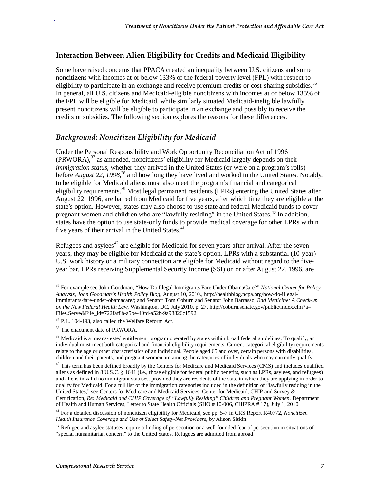#### **Interaction Between Alien Eligibility for Credits and Medicaid Eligibility**

Some have raised concerns that PPACA created an inequality between U.S. citizens and some noncitizens with incomes at or below 133% of the federal poverty level (FPL) with respect to eligibility to participate in an exchange and receive premium credits or cost-sharing subsidies.<sup>36</sup> In general, all U.S. citizens and Medicaid-eligible noncitizens with incomes at or below 133% of the FPL will be eligible for Medicaid, while similarly situated Medicaid-ineligible lawfully present noncitizens will be eligible to participate in an exchange and possibly to receive the credits or subsidies. The following section explores the reasons for these differences.

#### *Background: Noncitizen Eligibility for Medicaid*

Under the Personal Responsibility and Work Opportunity Reconciliation Act of 1996  $(PRWORA)$ ,<sup>37</sup> as amended, noncitizens' eligibility for Medicaid largely depends on their *immigration status*, whether they arrived in the United States (or were on a program's rolls) before *August 22, 1996*, 38 and how long they have lived and worked in the United States. Notably, to be eligible for Medicaid aliens must also meet the program's financial and categorical eligibility requirements.<sup>39</sup> Most legal permanent residents (LPRs) entering the United States after August 22, 1996, are barred from Medicaid for five years, after which time they are eligible at the state's option. However, states may also choose to use state and federal Medicaid funds to cover pregnant women and children who are "lawfully residing" in the United States.<sup>40</sup> In addition, states have the option to use state-only funds to provide medical coverage for other LPRs within five years of their arrival in the United States.<sup>41</sup>

Refugees and asylees<sup> $42$ </sup> are eligible for Medicaid for seven years after arrival. After the seven years, they may be eligible for Medicaid at the state's option. LPRs with a substantial (10-year) U.S. work history or a military connection are eligible for Medicaid without regard to the fiveyear bar. LPRs receiving Supplemental Security Income (SSI) on or after August 22, 1996, are

<sup>-</sup>36 For example see John Goodman, "How Do Illegal Immigrants Fare Under ObamaCare?" *National Center for Policy Analysis, John Goodman's Health Policy Blog*, August 10, 2010., http://healthblog.ncpa.org/how-do-illegalimmigrants-fare-under-obamacare/; and Senator Tom Coburn and Senator John Barrasso, *Bad Medicine: A Check-up on the New Federal Health Law*, Washington, DC, July 2010, p. 27, http://coburn.senate.gov/public/index.cfm?a= Files.Serve&File\_id=722faf8b-a5be-40fd-a52b-9a98826c1592.

 $37$  P.L. 104-193, also called the Welfare Reform Act.

<sup>&</sup>lt;sup>38</sup> The enactment date of PRWORA.

 $39$  Medicaid is a means-tested entitlement program operated by states within broad federal guidelines. To qualify, an individual must meet both categorical and financial eligibility requirements. Current categorical eligibility requirements relate to the age or other characteristics of an individual. People aged 65 and over, certain persons with disabilities, children and their parents, and pregnant women are among the categories of individuals who may currently qualify.

 $40$  This term has been defined broadly by the Centers for Medicare and Medicaid Services (CMS) and includes qualified aliens as defined in 8 U.S.C. § 1641 (i.e., those eligible for federal public benefits, such as LPRs, asylees, and refugees) and aliens in valid nonimmigrant statuses, provided they are residents of the state in which they are applying in order to qualify for Medicaid. For a full list of the immigration categories included in the definition of "lawfully residing in the United States," see Centers for Medicare and Medicaid Services: Center for Medicaid, CHIP and Survey & Certification, *Re: Medicaid and CHIP Coverage of "Lawfully Residing" Children and Pregnant Women*, Department of Health and Human Services, Letter to State Health Officials (SHO # 10-006, CHIPRA # 17), July 1, 2010.

<sup>41</sup> For a detailed discussion of noncitizen eligibility for Medicaid, see pp. 5-7 in CRS Report R40772, *Noncitizen Health Insurance Coverage and Use of Select Safety-Net Providers*, by Alison Siskin.

 $42$  Refugee and asylee statuses require a finding of persecution or a well-founded fear of persecution in situations of "special humanitarian concern" to the United States. Refugees are admitted from abroad.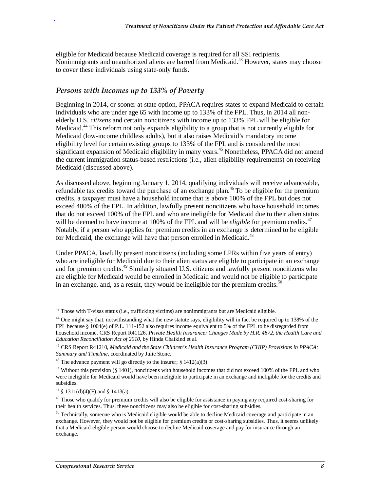eligible for Medicaid because Medicaid coverage is required for all SSI recipients. Nonimmigrants and unauthorized aliens are barred from Medicaid.<sup>43</sup> However, states may choose to cover these individuals using state-only funds.

#### *Persons with Incomes up to 133% of Poverty*

.

Beginning in 2014, or sooner at state option, PPACA requires states to expand Medicaid to certain individuals who are under age 65 with income up to 133% of the FPL. Thus, in 2014 all nonelderly U.S. *citizens* and certain noncitizens with income up to 133% FPL will be eligible for Medicaid.44 This reform not only expands eligibility to a group that is not currently eligible for Medicaid (low-income childless adults), but it also raises Medicaid's mandatory income eligibility level for certain existing groups to 133% of the FPL and is considered the most significant expansion of Medicaid eligibility in many years.<sup>45</sup> Nonetheless, PPACA did not amend the current immigration status-based restrictions (i.e., alien eligibility requirements) on receiving Medicaid (discussed above).

As discussed above, beginning January 1, 2014, qualifying individuals will receive advanceable, refundable tax credits toward the purchase of an exchange plan.<sup>46</sup> To be eligible for the premium credits, a taxpayer must have a household income that is above 100% of the FPL but does not exceed 400% of the FPL. In addition, lawfully present noncitizens who have household incomes that do not exceed 100% of the FPL and who are ineligible for Medicaid due to their alien status will be deemed to have income at 100% of the FPL and will be *eligible* for premium credits.<sup>47</sup> Notably, if a person who applies for premium credits in an exchange is determined to be eligible for Medicaid, the exchange will have that person enrolled in Medicaid.<sup>48</sup>

Under PPACA, lawfully present noncitizens (including some LPRs within five years of entry) who are ineligible for Medicaid due to their alien status are eligible to participate in an exchange and for premium credits.<sup>49</sup> Similarly situated U.S. citizens and lawfully present noncitizens who are eligible for Medicaid would be enrolled in Medicaid and would not be eligible to participate in an exchange, and, as a result, they would be ineligible for the premium credits.<sup>50</sup>

<sup>-</sup> $43$  Those with T-visas status (i.e., trafficking victims) are nonimmigrants but are Medicaid eligible.

<sup>&</sup>lt;sup>44</sup> One might say that, notwithstanding what the new statute says, eligibility will in fact be required up to 138% of the FPL because § 1004(e) of P.L. 111-152 also requires income equivalent to 5% of the FPL to be disregarded from household income. CRS Report R41126, *Private Health Insurance: Changes Made by H.R. 4872, the Health Care and Education Reconciliation Act of 2010*, by Hinda Chaikind et al.

<sup>45</sup> CRS Report R41210, *Medicaid and the State Children's Health Insurance Program (CHIP) Provisions in PPACA: Summary and Timeline*, coordinated by Julie Stone.

<sup>&</sup>lt;sup>46</sup> The advance payment will go directly to the insurer;  $\S$  1412(a)(3).

 $47$  Without this provision (§ 1401), noncitizens with household incomes that did not exceed 100% of the FPL and who were ineligible for Medicaid would have been ineligible to participate in an exchange and ineligible for the credits and subsidies.

 $48 \text{ }$  \$ 1311(d)(4)(F) and \$ 1413(a).

 $49$  Those who qualify for premium credits will also be eligible for assistance in paying any required cost-sharing for their health services. Thus, these noncitizens may also be eligible for cost-sharing subsidies.

 $50$  Technically, someone who is Medicaid eligible would be able to decline Medicaid coverage and participate in an exchange. However, they would not be eligible for premium credits or cost-sharing subsidies. Thus, it seems unlikely that a Medicaid-eligible person would choose to decline Medicaid coverage and pay for insurance through an exchange.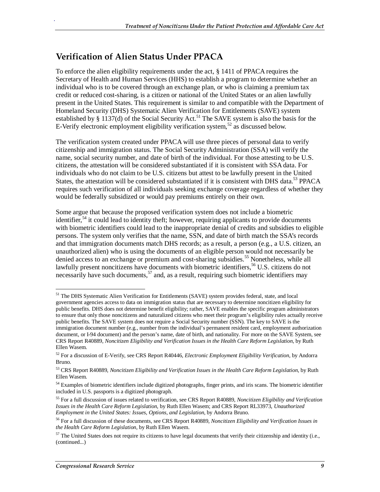### **Verification of Alien Status Under PPACA**

To enforce the alien eligibility requirements under the act, § 1411 of PPACA requires the Secretary of Health and Human Services (HHS) to establish a program to determine whether an individual who is to be covered through an exchange plan, or who is claiming a premium tax credit or reduced cost-sharing, is a citizen or national of the United States or an alien lawfully present in the United States. This requirement is similar to and compatible with the Department of Homeland Security (DHS) Systematic Alien Verification for Entitlements (SAVE) system established by § 1137(d) of the Social Security Act.<sup>51</sup> The SAVE system is also the basis for the E-Verify electronic employment eligibility verification system,  $52$  as discussed below.

The verification system created under PPACA will use three pieces of personal data to verify citizenship and immigration status. The Social Security Administration (SSA) will verify the name, social security number, and date of birth of the individual. For those attesting to be U.S. citizens, the attestation will be considered substantiated if it is consistent with SSA data. For individuals who do not claim to be U.S. citizens but attest to be lawfully present in the United States, the attestation will be considered substantiated if it is consistent with DHS data.<sup>53</sup> PPACA requires such verification of all individuals seeking exchange coverage regardless of whether they would be federally subsidized or would pay premiums entirely on their own.

Some argue that because the proposed verification system does not include a biometric identifier,  $54$  it could lead to identity theft; however, requiring applicants to provide documents with biometric identifiers could lead to the inappropriate denial of credits and subsidies to eligible persons. The system only verifies that the name, SSN, and date of birth match the SSA's records and that immigration documents match DHS records; as a result, a person (e.g., a U.S. citizen, an unauthorized alien) who is using the documents of an eligible person would not necessarily be denied access to an exchange or premium and cost-sharing subsidies.<sup>55</sup> Nonetheless, while all lawfully present noncitizens have documents with biometric identifiers,<sup>56</sup> U.S. citizens do not necessarily have such documents,  $57$  and, as a result, requiring such biometric identifiers may

-

<sup>&</sup>lt;sup>51</sup> The DHS Systematic Alien Verification for Entitlements (SAVE) system provides federal, state, and local government agencies access to data on immigration status that are necessary to determine noncitizen eligibility for public benefits. DHS does not determine benefit eligibility; rather, SAVE enables the specific program administrators to ensure that only those noncitizens and naturalized citizens who meet their program's eligibility rules actually receive public benefits. The SAVE system does not require a Social Security number (SSN). The key to SAVE is the immigration document number (e.g., number from the individual's permanent resident card, employment authorization document, or I-94 document) and the person's name, date of birth, and nationality. For more on the SAVE System, see CRS Report R40889, *Noncitizen Eligibility and Verification Issues in the Health Care Reform Legislation*, by Ruth Ellen Wasem.

<sup>52</sup> For a discussion of E-Verify, see CRS Report R40446, *Electronic Employment Eligibility Verification*, by Andorra Bruno.

<sup>53</sup> CRS Report R40889, *Noncitizen Eligibility and Verification Issues in the Health Care Reform Legislation*, by Ruth Ellen Wasem.

<sup>&</sup>lt;sup>54</sup> Examples of biometric identifiers include digitized photographs, finger prints, and iris scans. The biometric identifier included in U.S. passports is a digitized photograph.

<sup>55</sup> For a full discussion of issues related to verification, see CRS Report R40889, *Noncitizen Eligibility and Verification Issues in the Health Care Reform Legislation*, by Ruth Ellen Wasem; and CRS Report RL33973, *Unauthorized Employment in the United States: Issues, Options, and Legislation*, by Andorra Bruno.

<sup>56</sup> For a full discussion of these documents, see CRS Report R40889, *Noncitizen Eligibility and Verification Issues in the Health Care Reform Legislation*, by Ruth Ellen Wasem.

 $57$  The United States does not require its citizens to have legal documents that verify their citizenship and identity (i.e., (continued...)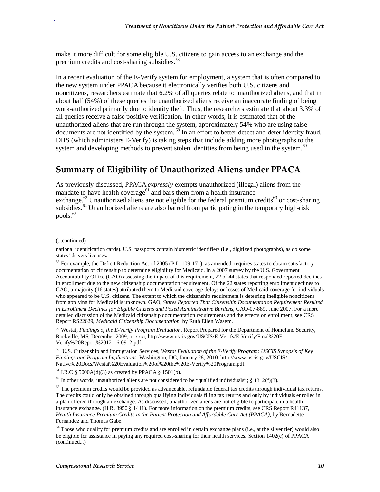make it more difficult for some eligible U.S. citizens to gain access to an exchange and the premium credits and cost-sharing subsidies.<sup>58</sup>

In a recent evaluation of the E-Verify system for employment, a system that is often compared to the new system under PPACA because it electronically verifies both U.S. citizens and noncitizens, researchers estimate that 6.2% of all queries relate to unauthorized aliens, and that in about half (54%) of these queries the unauthorized aliens receive an inaccurate finding of being work-authorized primarily due to identity theft. Thus, the researchers estimate that about 3.3% of all queries receive a false positive verification. In other words, it is estimated that of the unauthorized aliens that are run through the system, approximately 54% who are using false documents are not identified by the system.  $59$  In an effort to better detect and deter identity fraud, DHS (which administers E-Verify) is taking steps that include adding more photographs to the system and developing methods to prevent stolen identities from being used in the system. $60$ 

### **Summary of Eligibility of Unauthorized Aliens under PPACA**

As previously discussed, PPACA *expressly* exempts unauthorized (illegal) aliens from the mandate to have health coverage<sup>61</sup> and bars them from a health insurance exchange.<sup>62</sup> Unauthorized aliens are not eligible for the federal premium credits<sup>63</sup> or cost-sharing subsidies.<sup>64</sup> Unauthorized aliens are also barred from participating in the temporary high-risk pools.<sup>65</sup>

(...continued)

<u>.</u>

.

59 Westat, *Findings of the E-Verify Program Evaluation*, Report Prepared for the Department of Homeland Security, Rockville, MS, December 2009, p. xxxi, http://www.uscis.gov/USCIS/E-Verify/E-Verify/Final%20E-Verify%20Report%2012-16-09\_2.pdf.

60 U.S. Citizenship and Immigration Services, *Westat Evaluation of the E-Verify Program: USCIS Synopsis of Key Findings and Program Implications*, Washington, DC, January 28, 2010, http://www.uscis.gov/USCIS/ Native%20Docs/Westat%20Evaluation%20of%20the%20E-Verify%20Program.pdf.

 $61$  I.R.C § 5000A(d)(3) as created by PPACA § 1501(b).

 $62$  In other words, unauthorized aliens are not considered to be "qualified individuals"; § 1312(f)(3).

 $63$  The premium credits would be provided as advanceable, refundable federal tax credits through individual tax returns. The credits could only be obtained through qualifying individuals filing tax returns and only by individuals enrolled in a plan offered through an exchange. As discussed, unauthorized aliens are not eligible to participate in a health insurance exchange. (H.R. 3950 § 1411). For more information on the premium credits, see CRS Report R41137, *Health Insurance Premium Credits in the Patient Protection and Affordable Care Act (PPACA)*, by Bernadette Fernandez and Thomas Gabe.

national identification cards). U.S. passports contain biometric identifiers (i.e., digitized photographs), as do some states' drivers licenses.

<sup>58</sup> For example, the Deficit Reduction Act of 2005 (P.L. 109-171), as amended, requires states to obtain satisfactory documentation of citizenship to determine eligibility for Medicaid. In a 2007 survey by the U.S. Government Accountability Office (GAO) assessing the impact of this requirement, 22 of 44 states that responded reported declines in enrollment due to the new citizenship documentation requirement. Of the 22 states reporting enrollment declines to GAO, a majority (16 states) attributed them to Medicaid coverage delays or losses of Medicaid coverage for individuals who appeared to be U.S. citizens. The extent to which the citizenship requirement is deterring ineligible noncitizens from applying for Medicaid is unknown. GAO, *States Reported That Citizenship Documentation Requirement Resulted in Enrollment Declines for Eligible Citizens and Posed Administrative Burdens*, GAO-07-889, June 2007. For a more detailed discussion of the Medicaid citizenship documentation requirements and the effects on enrollment, see CRS Report RS22629, *Medicaid Citizenship Documentation*, by Ruth Ellen Wasem.

<sup>&</sup>lt;sup>64</sup> Those who qualify for premium credits and are enrolled in certain exchange plans (i.e., at the silver tier) would also be eligible for assistance in paying any required cost-sharing for their health services. Section 1402(e) of PPACA (continued...)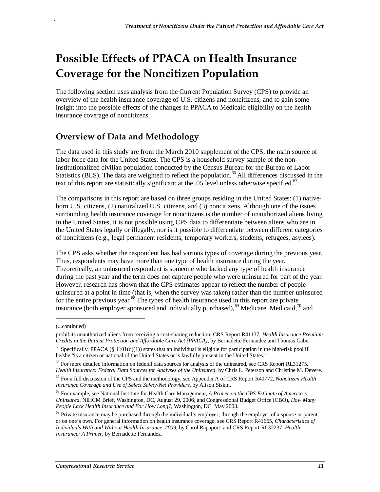## **Possible Effects of PPACA on Health Insurance Coverage for the Noncitizen Population**

The following section uses analysis from the Current Population Survey (CPS) to provide an overview of the health insurance coverage of U.S. citizens and noncitizens, and to gain some insight into the possible effects of the changes in PPACA to Medicaid eligibility on the health insurance coverage of noncitizens.

### **Overview of Data and Methodology**

The data used in this study are from the March 2010 supplement of the CPS, the main source of labor force data for the United States. The CPS is a household survey sample of the noninstitutionalized civilian population conducted by the Census Bureau for the Bureau of Labor Statistics (BLS). The data are weighted to reflect the population.<sup>66</sup> All differences discussed in the text of this report are statistically significant at the .05 level unless otherwise specified.<sup>67</sup>

The comparisons in this report are based on three groups residing in the United States: (1) nativeborn U.S. citizens, (2) naturalized U.S. citizens, and (3) noncitizens. Although one of the issues surrounding health insurance coverage for noncitizens is the number of unauthorized aliens living in the United States, it is not possible using CPS data to differentiate between aliens who are in the United States legally or illegally, nor is it possible to differentiate between different categories of noncitizens (e.g., legal permanent residents, temporary workers, students, refugees, asylees).

The CPS asks whether the respondent has had various types of coverage during the previous year. Thus, respondents may have more than one type of health insurance during the year. Theoretically, an uninsured respondent is someone who lacked any type of health insurance during the past year and the term does not capture people who were uninsured for part of the year. However, research has shown that the CPS estimates appear to reflect the number of people uninsured at a point in time (that is, when the survey was taken) rather than the number uninsured for the entire previous year. $68$  The types of health insurance used in this report are private insurance (both employer sponsored and individually purchased),<sup>69</sup> Medicare, Medicaid,<sup>70</sup> and

1

<sup>(...</sup>continued)

prohibits unauthorized aliens from receiving a cost-sharing reduction; CRS Report R41137, *Health Insurance Premium Credits in the Patient Protection and Affordable Care Act (PPACA)*, by Bernadette Fernandez and Thomas Gabe.

 $65$  Specifically, PPACA (§ 1101(d)(1)) states that an individual is eligible for participation in the high-risk pool if he/she "is a citizen or national of the United States or is lawfully present in the United States."

<sup>&</sup>lt;sup>66</sup> For more detailed information on federal data sources for analysis of the uninsured, see CRS Report RL31275, *Health Insurance: Federal Data Sources for Analyses of the Uninsured*, by Chris L. Peterson and Christine M. Devere.

<sup>67</sup> For a full discussion of the CPS and the methodology, see Appendix A of CRS Report R40772, *Noncitizen Health Insurance Coverage and Use of Select Safety-Net Providers*, by Alison Siskin.

<sup>68</sup> For example, see National Institute for Health Care Management, *A Primer on the CPS Estimate of America's Uninsured*, NIHCM Brief, Washington, DC, August 29, 2006; and Congressional Budget Office (CBO), *How Many People Lack Health Insurance and For How Long?*, Washington, DC, May 2003.

 $69$  Private insurance may be purchased through the individual's employer, through the employer of a spouse or parent, or on one's own. For general information on health insurance coverage, see CRS Report R41665, *Characteristics of Individuals With and Without Health Insurance, 2009*, by Carol Rapaport; and CRS Report RL32237, *Health Insurance: A Primer*, by Bernadette Fernandez.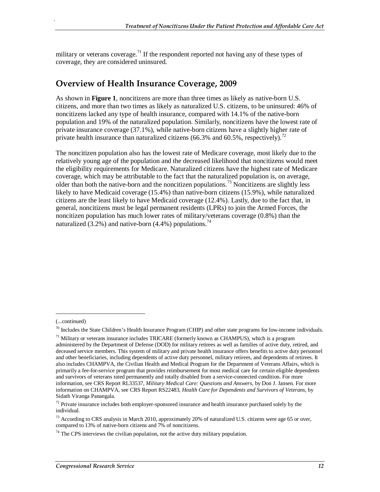military or veterans coverage.<sup>71</sup> If the respondent reported not having any of these types of coverage, they are considered uninsured.

#### **Overview of Health Insurance Coverage, 2009**

As shown in **Figure 1**, noncitizens are more than three times as likely as native-born U.S. citizens, and more than two times as likely as naturalized U.S. citizens, to be uninsured: 46% of noncitizens lacked any type of health insurance, compared with 14.1% of the native-born population and 19% of the naturalized population. Similarly, noncitizens have the lowest rate of private insurance coverage (37.1%), while native-born citizens have a slightly higher rate of private health insurance than naturalized citizens (66.3% and 60.5%, respectively).<sup>72</sup>

The noncitizen population also has the lowest rate of Medicare coverage, most likely due to the relatively young age of the population and the decreased likelihood that noncitizens would meet the eligibility requirements for Medicare. Naturalized citizens have the highest rate of Medicare coverage, which may be attributable to the fact that the naturalized population is, on average, older than both the native-born and the noncitizen populations.<sup>73</sup> Noncitizens are slightly less likely to have Medicaid coverage (15.4%) than native-born citizens (15.9%), while naturalized citizens are the least likely to have Medicaid coverage (12.4%). Lastly, due to the fact that, in general, noncitizens must be legal permanent residents (LPRs) to join the Armed Forces, the noncitizen population has much lower rates of military/veterans coverage (0.8%) than the naturalized (3.2%) and native-born (4.4%) populations.<sup>74</sup>

1

<sup>(...</sup>continued)

 $70$  Includes the State Children's Health Insurance Program (CHIP) and other state programs for low-income individuals.

 $71$  Military or veterans insurance includes TRICARE (formerly known as CHAMPUS), which is a program administered by the Department of Defense (DOD) for military retirees as well as families of active duty, retired, and deceased service members. This system of military and private health insurance offers benefits to active duty personnel and other beneficiaries, including dependents of active duty personnel, military retirees, and dependents of retirees. It also includes CHAMPVA, the Civilian Health and Medical Program for the Department of Veterans Affairs, which is primarily a fee-for-service program that provides reimbursement for most medical care for certain eligible dependents and survivors of veterans rated permanently and totally disabled from a service-connected condition. For more information, see CRS Report RL33537, *Military Medical Care: Questions and Answers*, by Don J. Jansen. For more information on CHAMPVA, see CRS Report RS22483, *Health Care for Dependents and Survivors of Veterans*, by Sidath Viranga Panangala.

 $72$  Private insurance includes both employer-sponsored insurance and health insurance purchased solely by the individual.

<sup>&</sup>lt;sup>73</sup> According to CRS analysis in March 2010, approximately 20% of naturalized U.S. citizens were age 65 or over, compared to 13% of native-born citizens and 7% of noncitizens.

 $74$  The CPS interviews the civilian population, not the active duty military population.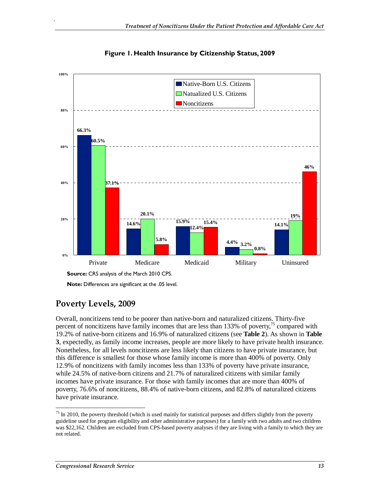



### **Poverty Levels, 2009**

.

Overall, noncitizens tend to be poorer than native-born and naturalized citizens. Thirty-five percent of noncitizens have family incomes that are less than 133% of poverty, $^{75}$  compared with 19.2% of native-born citizens and 16.9% of naturalized citizens (see **Table 2**). As shown in **Table 3**, expectedly, as family income increases, people are more likely to have private health insurance. Nonetheless, for all levels noncitizens are less likely than citizens to have private insurance, but this difference is smallest for those whose family income is more than 400% of poverty. Only 12.9% of noncitizens with family incomes less than 133% of poverty have private insurance, while 24.5% of native-born citizens and 21.7% of naturalized citizens with similar family incomes have private insurance. For those with family incomes that are more than 400% of poverty, 76.6% of noncitizens, 88.4% of native-born citizens, and 82.8% of naturalized citizens have private insurance.

**Note:** Differences are significant at the .05 level.

<sup>-</sup> $75$  In 2010, the poverty threshold (which is used mainly for statistical purposes and differs slightly from the poverty guideline used for program eligibility and other administrative purposes) for a family with two adults and two children was \$22,162. Children are excluded from CPS-based poverty analyses if they are living with a family to which they are not related.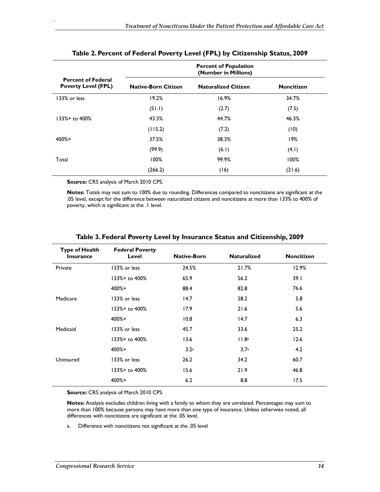|                                                         | <b>Percent of Population</b><br>(Number in Millions) |                            |                   |
|---------------------------------------------------------|------------------------------------------------------|----------------------------|-------------------|
| <b>Percent of Federal</b><br><b>Poverty Level (FPL)</b> | <b>Native-Born Citizen</b>                           | <b>Naturalized Citizen</b> | <b>Noncitizen</b> |
| 133% or less                                            | 19.2%                                                | 16.9%                      | 34.7%             |
|                                                         | (51.1)                                               | (2.7)                      | (7.5)             |
| 133%+ to 400%                                           | 43.3%                                                | 44.7%                      | 46.3%             |
|                                                         | (115.2)                                              | (7.2)                      | (10)              |
| $400% +$                                                | 37.5%                                                | 38.3%                      | 19%               |
|                                                         | (99.9)                                               | (6.1)                      | (4.1)             |
| Total                                                   | 100%                                                 | 99.9%                      | 100%              |
|                                                         | (266.2)                                              | (16)                       | (21.6)            |

#### **Table 2. Percent of Federal Poverty Level (FPL) by Citizenship Status, 2009**

**Source:** CRS analysis of March 2010 CPS.

.

**Notes:** Totals may not sum to 100% due to rounding. Differences compared to noncitizens are significant at the .05 level, except for the difference between naturalized citizens and noncitizens at more than 133% to 400% of poverty, which is significant at the .1 level.

| <b>Type of Health</b><br><b>Insurance</b> | <b>Federal Poverty</b><br>Level | <b>Native-Born</b> | <b>Naturalized</b> | <b>Noncitizen</b> |
|-------------------------------------------|---------------------------------|--------------------|--------------------|-------------------|
| Private                                   | 133% or less                    | 24.5%              | 21.7%              | 12.9%             |
|                                           | 133%+ to 400%                   | 65.9               | 56.2               | 39.1              |
|                                           | $400% +$                        | 88.4               | 82.8               | 76.6              |
| Medicare                                  | 133% or less                    | 14.7               | 28.2               | 5.8               |
|                                           | 133%+ to 400%                   | 17.9               | 21.6               | 5.6               |
|                                           | $400% +$                        | 10.8               | 14.7               | 6.3               |
| Medicaid                                  | 133% or less                    | 45.7               | 33.6               | 25.2              |
|                                           | 133%+ to 400%                   | 13.6               | 11.8a              | 12.6              |
|                                           | $400% +$                        | 3.2 <sup>a</sup>   | 3.7a               | 4.2               |
| Uninsured                                 | 133% or less                    | 26.2               | 34.2               | 60.7              |
|                                           | 133%+ to 400%                   | 15.6               | 21.9               | 46.8              |
|                                           | $400% +$                        | 6.2                | 8.8                | 17.5              |

#### **Table 3. Federal Poverty Level by Insurance Status and Citizenship, 2009**

**Source:** CRS analysis of March 2010 CPS.

**Notes:** Analysis excludes children living with a family to whom they are unrelated. Percentages may sum to more than 100% because persons may have more than one type of insurance. Unless otherwise noted, all differences with noncitizens are significant at the .05 level.

a. Difference with noncitizens not significant at the .05 level